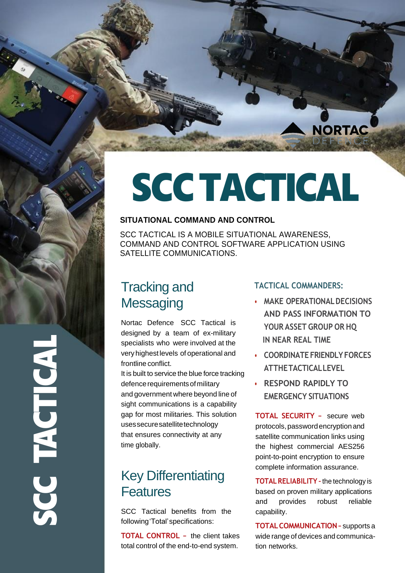

# SCCTACTICAL

### **SITUATIONAL COMMAND AND CONTROL**

SCC TACTICAL IS A MOBILE SITUATIONAL AWARENESS, COMMAND AND CONTROL SOFTWARE APPLICATION USING SATELLITE COMMUNICATIONS.

# Tracking and **Messaging**

Nortac Defence SCC Tactical is designed by a team of ex-military specialists who were involved at the veryhighestlevels of operational and frontline conflict.

It is built to service the blue force tracking defence requirements of military and government where beyond line of sight communications is a capability gap for most militaries. This solution usessecuresatellitetechnology that ensures connectivity at any time globally.

# Key Differentiating Features

SCC Tactical benefits from the following'Total'specifications:

**TOTAL CONTROL –** the client takes total control of the end-to-end system.

## **TACTICAL COMMANDERS:**

- **• MAKE OPERATIONALDECISIONS AND PASS INFORMATION TO YOUR ASSET GROUP OR HQ IN NEAR REAL TIME**
- **• COORDINATE FRIENDLYFORCES ATTHETACTICALLEVEL**
- **• RESPOND RAPIDLY TO EMERGENCY SITUATIONS**

**TOTAL SECURITY –** secure web protocols,passwordencryptionand satellite communication links using the highest commercial AES256 point-to-point encryption to ensure complete information assurance.

**TOTALRELIABILITY –**the technology is based on proven military applications and provides robust reliable capability.

**TOTALCOMMUNICATION–** supports a wide range of devices and communication networks.